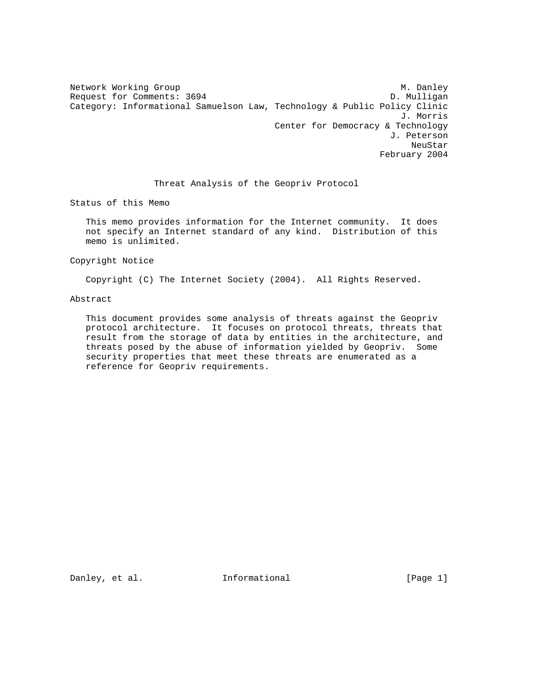Network Working Group Methods and M. Danley Request for Comments: 3694 D. Mulligan Category: Informational Samuelson Law, Technology & Public Policy Clinic J. Morris Center for Democracy & Technology J. Peterson neuStar and the control of the control of the control of the control of the control of the control of the control of the control of the control of the control of the control of the control of the control of the control of February 2004

# Threat Analysis of the Geopriv Protocol

Status of this Memo

 This memo provides information for the Internet community. It does not specify an Internet standard of any kind. Distribution of this memo is unlimited.

Copyright Notice

Copyright (C) The Internet Society (2004). All Rights Reserved.

Abstract

 This document provides some analysis of threats against the Geopriv protocol architecture. It focuses on protocol threats, threats that result from the storage of data by entities in the architecture, and threats posed by the abuse of information yielded by Geopriv. Some security properties that meet these threats are enumerated as a reference for Geopriv requirements.

Danley, et al. **Informational** [Page 1]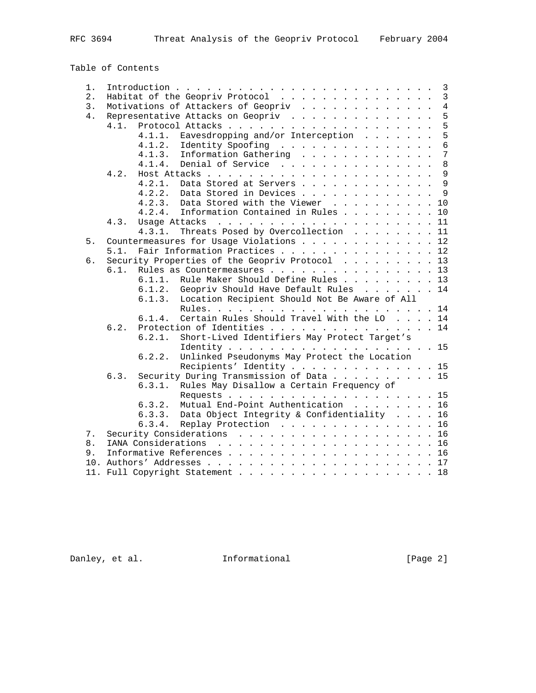Table of Contents

| 1. |      | 3                                                                                                                                                                                                                                                     |
|----|------|-------------------------------------------------------------------------------------------------------------------------------------------------------------------------------------------------------------------------------------------------------|
| 2. |      | Habitat of the Geopriv Protocol<br>$\mathbf{3}$                                                                                                                                                                                                       |
| 3. |      | $\overline{4}$<br>Motivations of Attackers of Geopriv                                                                                                                                                                                                 |
| 4. |      | 5<br>Representative Attacks on Geopriv                                                                                                                                                                                                                |
|    | 4.1. | 5                                                                                                                                                                                                                                                     |
|    |      | 5<br>Eavesdropping and/or Interception<br>4.1.1.                                                                                                                                                                                                      |
|    |      | 6<br>Identity Spoofing<br>4.1.2.                                                                                                                                                                                                                      |
|    |      | $\overline{7}$<br>Information Gathering<br>4.1.3.                                                                                                                                                                                                     |
|    |      | 8<br>Denial of Service<br>4.1.4.                                                                                                                                                                                                                      |
|    | 4.2. | $\overline{9}$                                                                                                                                                                                                                                        |
|    |      | $\overline{9}$<br>Data Stored at Servers<br>4.2.1.                                                                                                                                                                                                    |
|    |      | 9<br>4.2.2.<br>Data Stored in Devices                                                                                                                                                                                                                 |
|    |      | Data Stored with the Viewer 10<br>4.2.3.                                                                                                                                                                                                              |
|    |      | Information Contained in Rules<br>10<br>4.2.4.                                                                                                                                                                                                        |
|    | 4.3. | Usage Attacks<br>11<br>the contract of the contract of the contract of the contract of the contract of the contract of the contract of the contract of the contract of the contract of the contract of the contract of the contract of the contract o |
|    |      | Threats Posed by Overcollection 11<br>4, 3, 1,                                                                                                                                                                                                        |
| 5. |      | Countermeasures for Usage Violations 12                                                                                                                                                                                                               |
|    | 5.1. | Fair Information Practices 12                                                                                                                                                                                                                         |
| б. |      | Security Properties of the Geopriv Protocol 13                                                                                                                                                                                                        |
|    | 6.1. | Rules as Countermeasures 13                                                                                                                                                                                                                           |
|    |      | Rule Maker Should Define Rules 13<br>6.1.1.                                                                                                                                                                                                           |
|    |      | Geopriv Should Have Default Rules 14<br>6.1.2.                                                                                                                                                                                                        |
|    |      | 6.1.3.<br>Location Recipient Should Not Be Aware of All                                                                                                                                                                                               |
|    |      |                                                                                                                                                                                                                                                       |
|    |      | Certain Rules Should Travel With the LO 14<br>6.1.4.                                                                                                                                                                                                  |
|    | 6.2. | Protection of Identities 14                                                                                                                                                                                                                           |
|    |      | Short-Lived Identifiers May Protect Target's<br>6.2.1.                                                                                                                                                                                                |
|    |      |                                                                                                                                                                                                                                                       |
|    |      | Unlinked Pseudonyms May Protect the Location<br>6.2.2.                                                                                                                                                                                                |
|    |      | Recipients' Identity 15                                                                                                                                                                                                                               |
|    | 6.3. | Security During Transmission of Data 15                                                                                                                                                                                                               |
|    |      | Rules May Disallow a Certain Frequency of<br>6.3.1.                                                                                                                                                                                                   |
|    |      |                                                                                                                                                                                                                                                       |
|    |      | Mutual End-Point Authentication 16<br>6.3.2.                                                                                                                                                                                                          |
|    |      | Data Object Integrity & Confidentiality 16<br>6.3.3.                                                                                                                                                                                                  |
|    |      | 6.3.4.<br>Replay Protection 16                                                                                                                                                                                                                        |
| 7. |      | Security Considerations 16                                                                                                                                                                                                                            |
| 8. |      |                                                                                                                                                                                                                                                       |
| 9. |      |                                                                                                                                                                                                                                                       |
|    |      |                                                                                                                                                                                                                                                       |
|    |      | 11. Full Copyright Statement 18                                                                                                                                                                                                                       |
|    |      |                                                                                                                                                                                                                                                       |

Danley, et al. 1nformational [Page 2]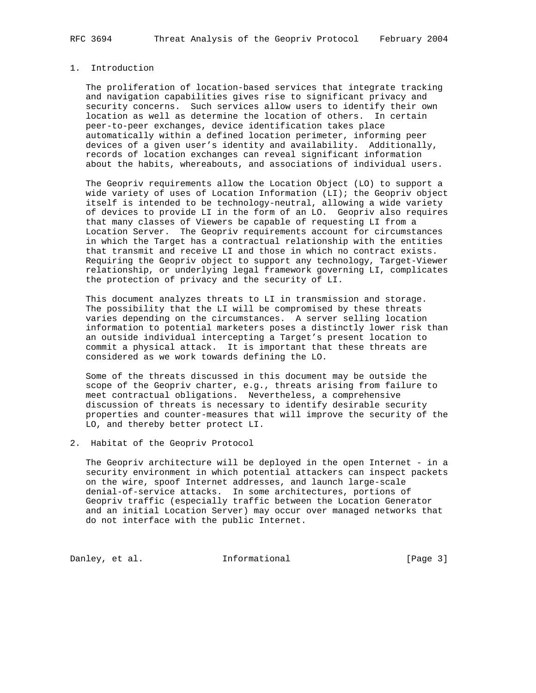# 1. Introduction

 The proliferation of location-based services that integrate tracking and navigation capabilities gives rise to significant privacy and security concerns. Such services allow users to identify their own location as well as determine the location of others. In certain peer-to-peer exchanges, device identification takes place automatically within a defined location perimeter, informing peer devices of a given user's identity and availability. Additionally, records of location exchanges can reveal significant information about the habits, whereabouts, and associations of individual users.

 The Geopriv requirements allow the Location Object (LO) to support a wide variety of uses of Location Information (LI); the Geopriv object itself is intended to be technology-neutral, allowing a wide variety of devices to provide LI in the form of an LO. Geopriv also requires that many classes of Viewers be capable of requesting LI from a Location Server. The Geopriv requirements account for circumstances in which the Target has a contractual relationship with the entities that transmit and receive LI and those in which no contract exists. Requiring the Geopriv object to support any technology, Target-Viewer relationship, or underlying legal framework governing LI, complicates the protection of privacy and the security of LI.

 This document analyzes threats to LI in transmission and storage. The possibility that the LI will be compromised by these threats varies depending on the circumstances. A server selling location information to potential marketers poses a distinctly lower risk than an outside individual intercepting a Target's present location to commit a physical attack. It is important that these threats are considered as we work towards defining the LO.

 Some of the threats discussed in this document may be outside the scope of the Geopriv charter, e.g., threats arising from failure to meet contractual obligations. Nevertheless, a comprehensive discussion of threats is necessary to identify desirable security properties and counter-measures that will improve the security of the LO, and thereby better protect LI.

2. Habitat of the Geopriv Protocol

 The Geopriv architecture will be deployed in the open Internet - in a security environment in which potential attackers can inspect packets on the wire, spoof Internet addresses, and launch large-scale denial-of-service attacks. In some architectures, portions of Geopriv traffic (especially traffic between the Location Generator and an initial Location Server) may occur over managed networks that do not interface with the public Internet.

Danley, et al. 1nformational 1999 [Page 3]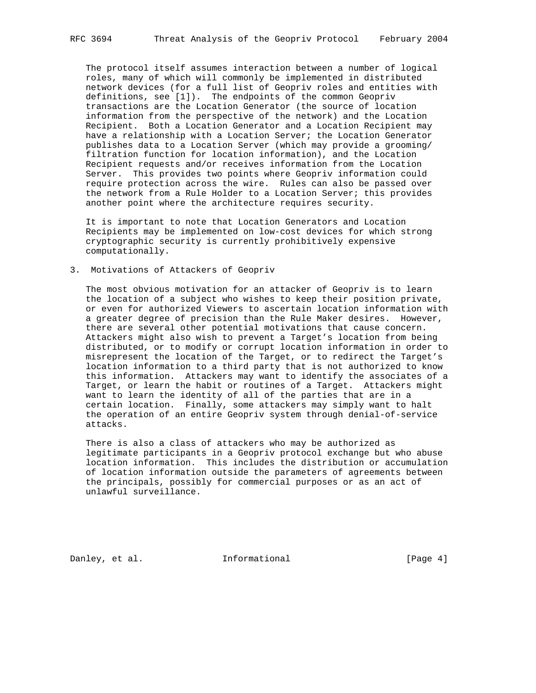The protocol itself assumes interaction between a number of logical roles, many of which will commonly be implemented in distributed network devices (for a full list of Geopriv roles and entities with definitions, see [1]). The endpoints of the common Geopriv transactions are the Location Generator (the source of location information from the perspective of the network) and the Location Recipient. Both a Location Generator and a Location Recipient may have a relationship with a Location Server; the Location Generator publishes data to a Location Server (which may provide a grooming/ filtration function for location information), and the Location Recipient requests and/or receives information from the Location Server. This provides two points where Geopriv information could require protection across the wire. Rules can also be passed over the network from a Rule Holder to a Location Server; this provides another point where the architecture requires security.

 It is important to note that Location Generators and Location Recipients may be implemented on low-cost devices for which strong cryptographic security is currently prohibitively expensive computationally.

3. Motivations of Attackers of Geopriv

 The most obvious motivation for an attacker of Geopriv is to learn the location of a subject who wishes to keep their position private, or even for authorized Viewers to ascertain location information with a greater degree of precision than the Rule Maker desires. However, there are several other potential motivations that cause concern. Attackers might also wish to prevent a Target's location from being distributed, or to modify or corrupt location information in order to misrepresent the location of the Target, or to redirect the Target's location information to a third party that is not authorized to know this information. Attackers may want to identify the associates of a Target, or learn the habit or routines of a Target. Attackers might want to learn the identity of all of the parties that are in a certain location. Finally, some attackers may simply want to halt the operation of an entire Geopriv system through denial-of-service attacks.

 There is also a class of attackers who may be authorized as legitimate participants in a Geopriv protocol exchange but who abuse location information. This includes the distribution or accumulation of location information outside the parameters of agreements between the principals, possibly for commercial purposes or as an act of unlawful surveillance.

Danley, et al. **Informational** [Page 4]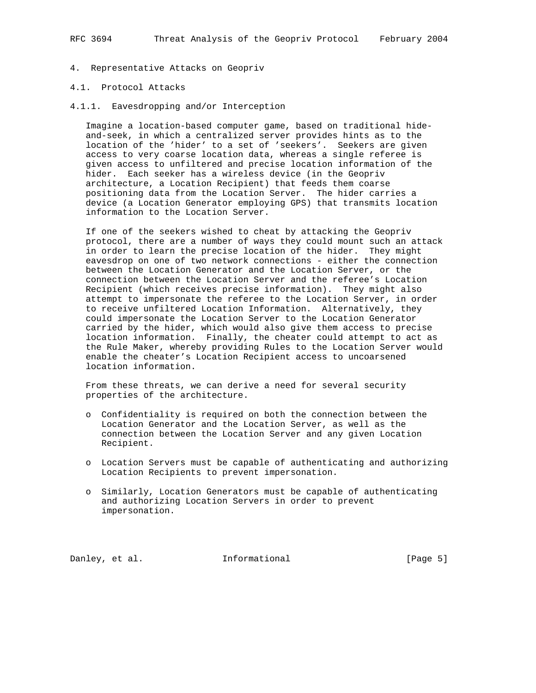- 4. Representative Attacks on Geopriv
- 4.1. Protocol Attacks
- 4.1.1. Eavesdropping and/or Interception

 Imagine a location-based computer game, based on traditional hide and-seek, in which a centralized server provides hints as to the location of the 'hider' to a set of 'seekers'. Seekers are given access to very coarse location data, whereas a single referee is given access to unfiltered and precise location information of the hider. Each seeker has a wireless device (in the Geopriv architecture, a Location Recipient) that feeds them coarse positioning data from the Location Server. The hider carries a device (a Location Generator employing GPS) that transmits location information to the Location Server.

 If one of the seekers wished to cheat by attacking the Geopriv protocol, there are a number of ways they could mount such an attack in order to learn the precise location of the hider. They might eavesdrop on one of two network connections - either the connection between the Location Generator and the Location Server, or the connection between the Location Server and the referee's Location Recipient (which receives precise information). They might also attempt to impersonate the referee to the Location Server, in order to receive unfiltered Location Information. Alternatively, they could impersonate the Location Server to the Location Generator carried by the hider, which would also give them access to precise location information. Finally, the cheater could attempt to act as the Rule Maker, whereby providing Rules to the Location Server would enable the cheater's Location Recipient access to uncoarsened location information.

 From these threats, we can derive a need for several security properties of the architecture.

- o Confidentiality is required on both the connection between the Location Generator and the Location Server, as well as the connection between the Location Server and any given Location Recipient.
- o Location Servers must be capable of authenticating and authorizing Location Recipients to prevent impersonation.
- o Similarly, Location Generators must be capable of authenticating and authorizing Location Servers in order to prevent impersonation.

Danley, et al. **Informational** [Page 5]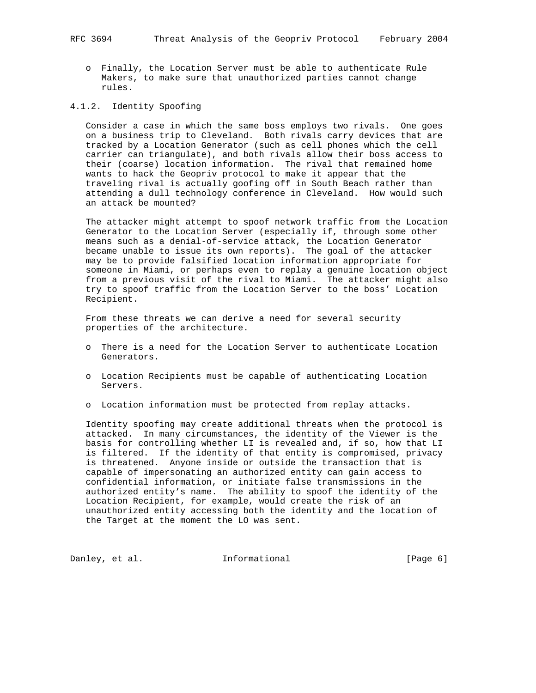- - o Finally, the Location Server must be able to authenticate Rule Makers, to make sure that unauthorized parties cannot change rules.
- 4.1.2. Identity Spoofing

 Consider a case in which the same boss employs two rivals. One goes on a business trip to Cleveland. Both rivals carry devices that are tracked by a Location Generator (such as cell phones which the cell carrier can triangulate), and both rivals allow their boss access to their (coarse) location information. The rival that remained home wants to hack the Geopriv protocol to make it appear that the traveling rival is actually goofing off in South Beach rather than attending a dull technology conference in Cleveland. How would such an attack be mounted?

 The attacker might attempt to spoof network traffic from the Location Generator to the Location Server (especially if, through some other means such as a denial-of-service attack, the Location Generator became unable to issue its own reports). The goal of the attacker may be to provide falsified location information appropriate for someone in Miami, or perhaps even to replay a genuine location object from a previous visit of the rival to Miami. The attacker might also try to spoof traffic from the Location Server to the boss' Location Recipient.

 From these threats we can derive a need for several security properties of the architecture.

- o There is a need for the Location Server to authenticate Location Generators.
- o Location Recipients must be capable of authenticating Location Servers.
- o Location information must be protected from replay attacks.

 Identity spoofing may create additional threats when the protocol is attacked. In many circumstances, the identity of the Viewer is the basis for controlling whether LI is revealed and, if so, how that LI is filtered. If the identity of that entity is compromised, privacy is threatened. Anyone inside or outside the transaction that is capable of impersonating an authorized entity can gain access to confidential information, or initiate false transmissions in the authorized entity's name. The ability to spoof the identity of the Location Recipient, for example, would create the risk of an unauthorized entity accessing both the identity and the location of the Target at the moment the LO was sent.

Danley, et al. 1nformational 1999 [Page 6]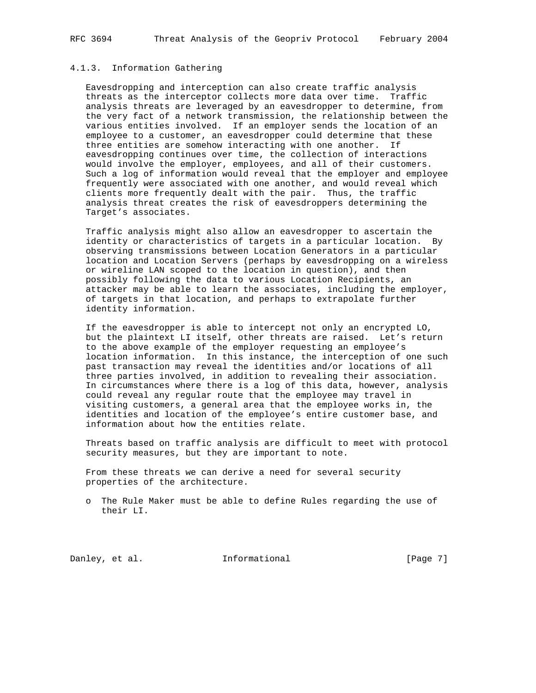# 4.1.3. Information Gathering

 Eavesdropping and interception can also create traffic analysis threats as the interceptor collects more data over time. Traffic analysis threats are leveraged by an eavesdropper to determine, from the very fact of a network transmission, the relationship between the various entities involved. If an employer sends the location of an employee to a customer, an eavesdropper could determine that these three entities are somehow interacting with one another. If eavesdropping continues over time, the collection of interactions would involve the employer, employees, and all of their customers. Such a log of information would reveal that the employer and employee frequently were associated with one another, and would reveal which clients more frequently dealt with the pair. Thus, the traffic analysis threat creates the risk of eavesdroppers determining the Target's associates.

 Traffic analysis might also allow an eavesdropper to ascertain the identity or characteristics of targets in a particular location. By observing transmissions between Location Generators in a particular location and Location Servers (perhaps by eavesdropping on a wireless or wireline LAN scoped to the location in question), and then possibly following the data to various Location Recipients, an attacker may be able to learn the associates, including the employer, of targets in that location, and perhaps to extrapolate further identity information.

 If the eavesdropper is able to intercept not only an encrypted LO, but the plaintext LI itself, other threats are raised. Let's return to the above example of the employer requesting an employee's location information. In this instance, the interception of one such past transaction may reveal the identities and/or locations of all three parties involved, in addition to revealing their association. In circumstances where there is a log of this data, however, analysis could reveal any regular route that the employee may travel in visiting customers, a general area that the employee works in, the identities and location of the employee's entire customer base, and information about how the entities relate.

 Threats based on traffic analysis are difficult to meet with protocol security measures, but they are important to note.

 From these threats we can derive a need for several security properties of the architecture.

 o The Rule Maker must be able to define Rules regarding the use of their LI.

Danley, et al. **Informational** [Page 7]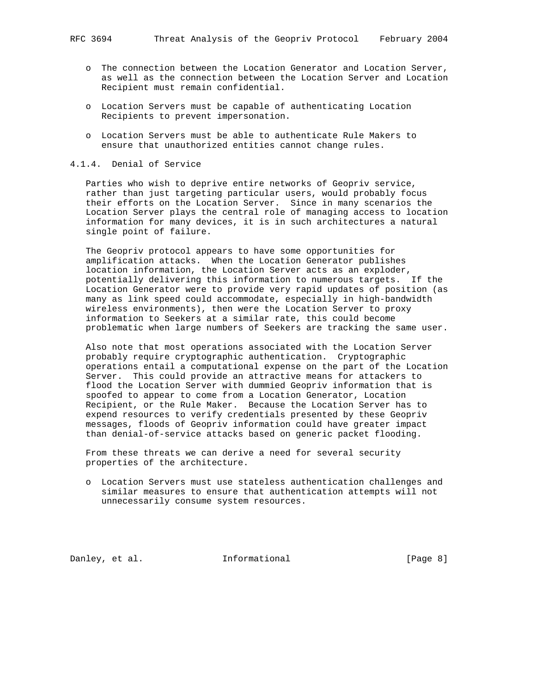- o The connection between the Location Generator and Location Server, as well as the connection between the Location Server and Location Recipient must remain confidential.
- o Location Servers must be capable of authenticating Location Recipients to prevent impersonation.
- o Location Servers must be able to authenticate Rule Makers to ensure that unauthorized entities cannot change rules.

## 4.1.4. Denial of Service

 Parties who wish to deprive entire networks of Geopriv service, rather than just targeting particular users, would probably focus their efforts on the Location Server. Since in many scenarios the Location Server plays the central role of managing access to location information for many devices, it is in such architectures a natural single point of failure.

 The Geopriv protocol appears to have some opportunities for amplification attacks. When the Location Generator publishes location information, the Location Server acts as an exploder, potentially delivering this information to numerous targets. If the Location Generator were to provide very rapid updates of position (as many as link speed could accommodate, especially in high-bandwidth wireless environments), then were the Location Server to proxy information to Seekers at a similar rate, this could become problematic when large numbers of Seekers are tracking the same user.

 Also note that most operations associated with the Location Server probably require cryptographic authentication. Cryptographic operations entail a computational expense on the part of the Location Server. This could provide an attractive means for attackers to flood the Location Server with dummied Geopriv information that is spoofed to appear to come from a Location Generator, Location Recipient, or the Rule Maker. Because the Location Server has to expend resources to verify credentials presented by these Geopriv messages, floods of Geopriv information could have greater impact than denial-of-service attacks based on generic packet flooding.

 From these threats we can derive a need for several security properties of the architecture.

 o Location Servers must use stateless authentication challenges and similar measures to ensure that authentication attempts will not unnecessarily consume system resources.

Danley, et al. **Informational** [Page 8]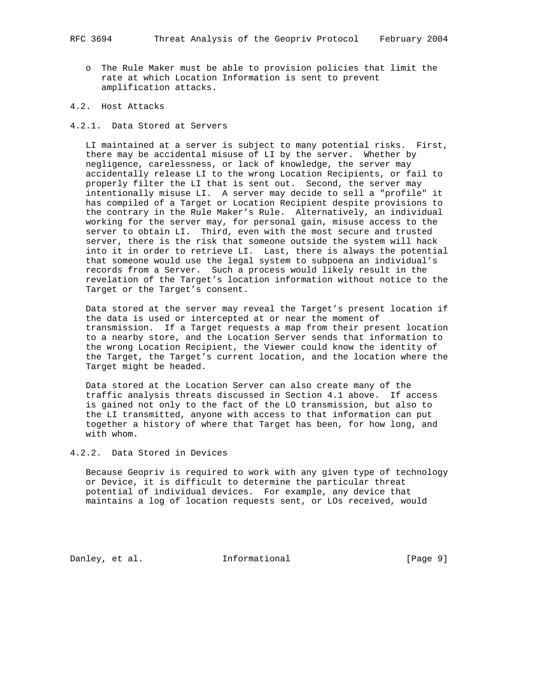- o The Rule Maker must be able to provision policies that limit the rate at which Location Information is sent to prevent amplification attacks.
- 4.2. Host Attacks
- 4.2.1. Data Stored at Servers

 LI maintained at a server is subject to many potential risks. First, there may be accidental misuse of LI by the server. Whether by negligence, carelessness, or lack of knowledge, the server may accidentally release LI to the wrong Location Recipients, or fail to properly filter the LI that is sent out. Second, the server may intentionally misuse LI. A server may decide to sell a "profile" it has compiled of a Target or Location Recipient despite provisions to the contrary in the Rule Maker's Rule. Alternatively, an individual working for the server may, for personal gain, misuse access to the server to obtain LI. Third, even with the most secure and trusted server, there is the risk that someone outside the system will hack into it in order to retrieve LI. Last, there is always the potential that someone would use the legal system to subpoena an individual's records from a Server. Such a process would likely result in the revelation of the Target's location information without notice to the Target or the Target's consent.

 Data stored at the server may reveal the Target's present location if the data is used or intercepted at or near the moment of transmission. If a Target requests a map from their present location to a nearby store, and the Location Server sends that information to the wrong Location Recipient, the Viewer could know the identity of the Target, the Target's current location, and the location where the Target might be headed.

 Data stored at the Location Server can also create many of the traffic analysis threats discussed in Section 4.1 above. If access is gained not only to the fact of the LO transmission, but also to the LI transmitted, anyone with access to that information can put together a history of where that Target has been, for how long, and with whom.

4.2.2. Data Stored in Devices

 Because Geopriv is required to work with any given type of technology or Device, it is difficult to determine the particular threat potential of individual devices. For example, any device that maintains a log of location requests sent, or LOs received, would

Danley, et al. **Informational** [Page 9]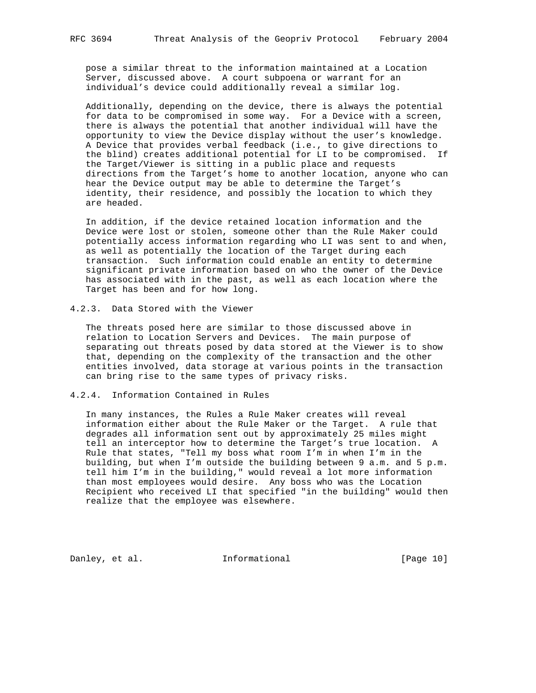pose a similar threat to the information maintained at a Location Server, discussed above. A court subpoena or warrant for an individual's device could additionally reveal a similar log.

 Additionally, depending on the device, there is always the potential for data to be compromised in some way. For a Device with a screen, there is always the potential that another individual will have the opportunity to view the Device display without the user's knowledge. A Device that provides verbal feedback (i.e., to give directions to the blind) creates additional potential for LI to be compromised. If the Target/Viewer is sitting in a public place and requests directions from the Target's home to another location, anyone who can hear the Device output may be able to determine the Target's identity, their residence, and possibly the location to which they are headed.

 In addition, if the device retained location information and the Device were lost or stolen, someone other than the Rule Maker could potentially access information regarding who LI was sent to and when, as well as potentially the location of the Target during each transaction. Such information could enable an entity to determine significant private information based on who the owner of the Device has associated with in the past, as well as each location where the Target has been and for how long.

## 4.2.3. Data Stored with the Viewer

 The threats posed here are similar to those discussed above in relation to Location Servers and Devices. The main purpose of separating out threats posed by data stored at the Viewer is to show that, depending on the complexity of the transaction and the other entities involved, data storage at various points in the transaction can bring rise to the same types of privacy risks.

## 4.2.4. Information Contained in Rules

 In many instances, the Rules a Rule Maker creates will reveal information either about the Rule Maker or the Target. A rule that degrades all information sent out by approximately 25 miles might tell an interceptor how to determine the Target's true location. A Rule that states, "Tell my boss what room I'm in when I'm in the building, but when I'm outside the building between 9 a.m. and 5 p.m. tell him I'm in the building," would reveal a lot more information than most employees would desire. Any boss who was the Location Recipient who received LI that specified "in the building" would then realize that the employee was elsewhere.

Danley, et al. 1nformational 1999 [Page 10]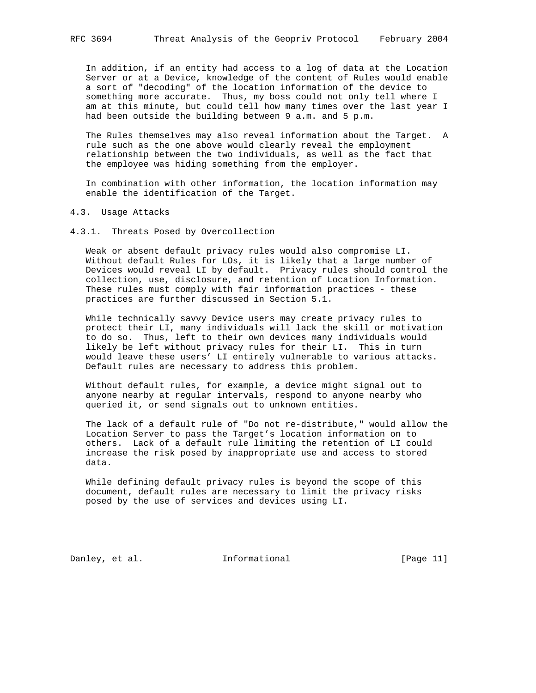In addition, if an entity had access to a log of data at the Location Server or at a Device, knowledge of the content of Rules would enable a sort of "decoding" of the location information of the device to something more accurate. Thus, my boss could not only tell where I am at this minute, but could tell how many times over the last year I had been outside the building between 9 a.m. and 5 p.m.

 The Rules themselves may also reveal information about the Target. A rule such as the one above would clearly reveal the employment relationship between the two individuals, as well as the fact that the employee was hiding something from the employer.

 In combination with other information, the location information may enable the identification of the Target.

4.3. Usage Attacks

4.3.1. Threats Posed by Overcollection

 Weak or absent default privacy rules would also compromise LI. Without default Rules for LOs, it is likely that a large number of Devices would reveal LI by default. Privacy rules should control the collection, use, disclosure, and retention of Location Information. These rules must comply with fair information practices - these practices are further discussed in Section 5.1.

 While technically savvy Device users may create privacy rules to protect their LI, many individuals will lack the skill or motivation to do so. Thus, left to their own devices many individuals would likely be left without privacy rules for their LI. This in turn would leave these users' LI entirely vulnerable to various attacks. Default rules are necessary to address this problem.

 Without default rules, for example, a device might signal out to anyone nearby at regular intervals, respond to anyone nearby who queried it, or send signals out to unknown entities.

 The lack of a default rule of "Do not re-distribute," would allow the Location Server to pass the Target's location information on to others. Lack of a default rule limiting the retention of LI could increase the risk posed by inappropriate use and access to stored data.

 While defining default privacy rules is beyond the scope of this document, default rules are necessary to limit the privacy risks posed by the use of services and devices using LI.

Danley, et al. 1nformational [Page 11]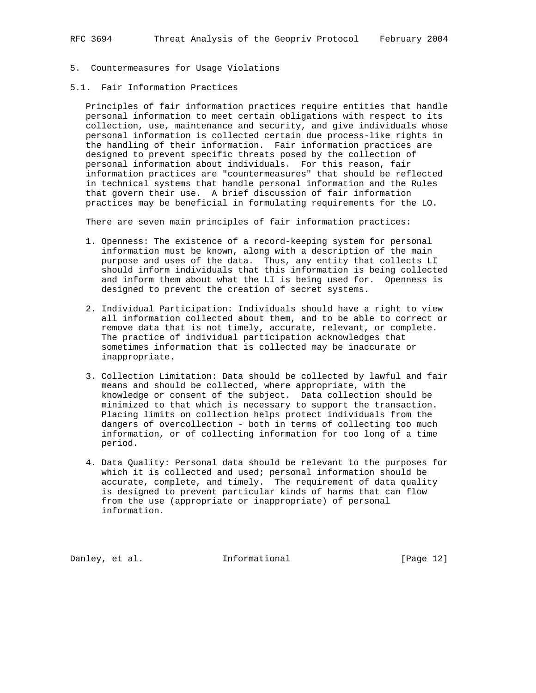- 5. Countermeasures for Usage Violations
- 5.1. Fair Information Practices

 Principles of fair information practices require entities that handle personal information to meet certain obligations with respect to its collection, use, maintenance and security, and give individuals whose personal information is collected certain due process-like rights in the handling of their information. Fair information practices are designed to prevent specific threats posed by the collection of personal information about individuals. For this reason, fair information practices are "countermeasures" that should be reflected in technical systems that handle personal information and the Rules that govern their use. A brief discussion of fair information practices may be beneficial in formulating requirements for the LO.

There are seven main principles of fair information practices:

- 1. Openness: The existence of a record-keeping system for personal information must be known, along with a description of the main purpose and uses of the data. Thus, any entity that collects LI should inform individuals that this information is being collected and inform them about what the LI is being used for. Openness is designed to prevent the creation of secret systems.
- 2. Individual Participation: Individuals should have a right to view all information collected about them, and to be able to correct or remove data that is not timely, accurate, relevant, or complete. The practice of individual participation acknowledges that sometimes information that is collected may be inaccurate or inappropriate.
- 3. Collection Limitation: Data should be collected by lawful and fair means and should be collected, where appropriate, with the knowledge or consent of the subject. Data collection should be minimized to that which is necessary to support the transaction. Placing limits on collection helps protect individuals from the dangers of overcollection - both in terms of collecting too much information, or of collecting information for too long of a time period.
- 4. Data Quality: Personal data should be relevant to the purposes for which it is collected and used; personal information should be accurate, complete, and timely. The requirement of data quality is designed to prevent particular kinds of harms that can flow from the use (appropriate or inappropriate) of personal information.

Danley, et al. **Informational** [Page 12]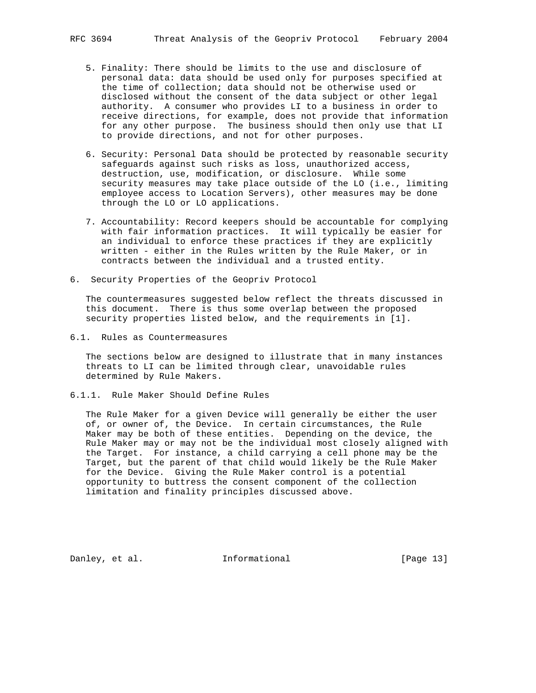- 5. Finality: There should be limits to the use and disclosure of personal data: data should be used only for purposes specified at the time of collection; data should not be otherwise used or disclosed without the consent of the data subject or other legal authority. A consumer who provides LI to a business in order to receive directions, for example, does not provide that information for any other purpose. The business should then only use that LI to provide directions, and not for other purposes.
- 6. Security: Personal Data should be protected by reasonable security safeguards against such risks as loss, unauthorized access, destruction, use, modification, or disclosure. While some security measures may take place outside of the LO (i.e., limiting employee access to Location Servers), other measures may be done through the LO or LO applications.
- 7. Accountability: Record keepers should be accountable for complying with fair information practices. It will typically be easier for an individual to enforce these practices if they are explicitly written - either in the Rules written by the Rule Maker, or in contracts between the individual and a trusted entity.
- 6. Security Properties of the Geopriv Protocol

 The countermeasures suggested below reflect the threats discussed in this document. There is thus some overlap between the proposed security properties listed below, and the requirements in [1].

6.1. Rules as Countermeasures

 The sections below are designed to illustrate that in many instances threats to LI can be limited through clear, unavoidable rules determined by Rule Makers.

6.1.1. Rule Maker Should Define Rules

 The Rule Maker for a given Device will generally be either the user of, or owner of, the Device. In certain circumstances, the Rule Maker may be both of these entities. Depending on the device, the Rule Maker may or may not be the individual most closely aligned with the Target. For instance, a child carrying a cell phone may be the Target, but the parent of that child would likely be the Rule Maker for the Device. Giving the Rule Maker control is a potential opportunity to buttress the consent component of the collection limitation and finality principles discussed above.

Danley, et al. **Informational** [Page 13]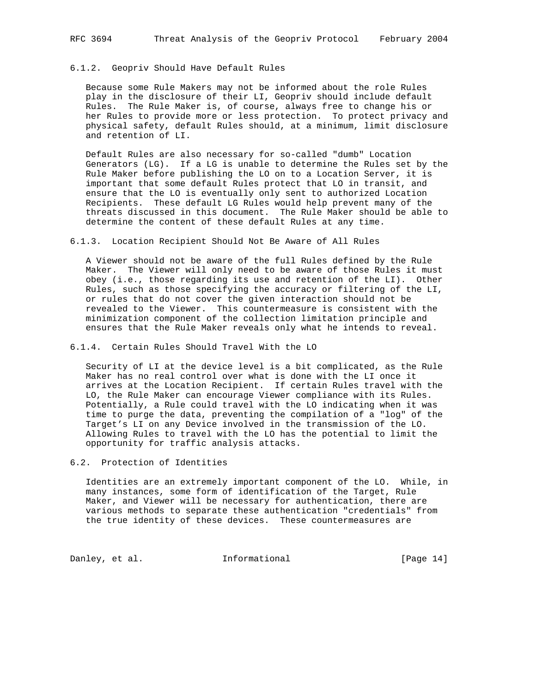## 6.1.2. Geopriv Should Have Default Rules

 Because some Rule Makers may not be informed about the role Rules play in the disclosure of their LI, Geopriv should include default Rules. The Rule Maker is, of course, always free to change his or her Rules to provide more or less protection. To protect privacy and physical safety, default Rules should, at a minimum, limit disclosure and retention of LI.

 Default Rules are also necessary for so-called "dumb" Location Generators (LG). If a LG is unable to determine the Rules set by the Rule Maker before publishing the LO on to a Location Server, it is important that some default Rules protect that LO in transit, and ensure that the LO is eventually only sent to authorized Location Recipients. These default LG Rules would help prevent many of the threats discussed in this document. The Rule Maker should be able to determine the content of these default Rules at any time.

6.1.3. Location Recipient Should Not Be Aware of All Rules

 A Viewer should not be aware of the full Rules defined by the Rule Maker. The Viewer will only need to be aware of those Rules it must obey (i.e., those regarding its use and retention of the LI). Other Rules, such as those specifying the accuracy or filtering of the LI, or rules that do not cover the given interaction should not be revealed to the Viewer. This countermeasure is consistent with the minimization component of the collection limitation principle and ensures that the Rule Maker reveals only what he intends to reveal.

6.1.4. Certain Rules Should Travel With the LO

 Security of LI at the device level is a bit complicated, as the Rule Maker has no real control over what is done with the LI once it arrives at the Location Recipient. If certain Rules travel with the LO, the Rule Maker can encourage Viewer compliance with its Rules. Potentially, a Rule could travel with the LO indicating when it was time to purge the data, preventing the compilation of a "log" of the Target's LI on any Device involved in the transmission of the LO. Allowing Rules to travel with the LO has the potential to limit the opportunity for traffic analysis attacks.

6.2. Protection of Identities

 Identities are an extremely important component of the LO. While, in many instances, some form of identification of the Target, Rule Maker, and Viewer will be necessary for authentication, there are various methods to separate these authentication "credentials" from the true identity of these devices. These countermeasures are

Danley, et al. 1nformational 1999 [Page 14]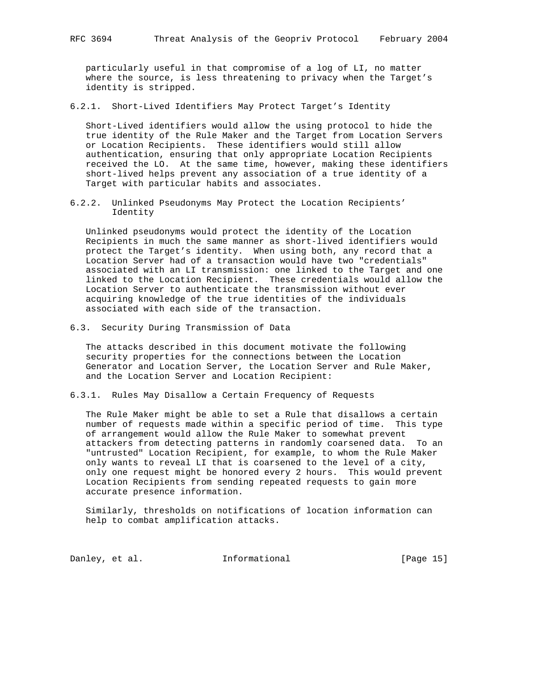particularly useful in that compromise of a log of LI, no matter where the source, is less threatening to privacy when the Target's identity is stripped.

6.2.1. Short-Lived Identifiers May Protect Target's Identity

 Short-Lived identifiers would allow the using protocol to hide the true identity of the Rule Maker and the Target from Location Servers or Location Recipients. These identifiers would still allow authentication, ensuring that only appropriate Location Recipients received the LO. At the same time, however, making these identifiers short-lived helps prevent any association of a true identity of a Target with particular habits and associates.

6.2.2. Unlinked Pseudonyms May Protect the Location Recipients' Identity

 Unlinked pseudonyms would protect the identity of the Location Recipients in much the same manner as short-lived identifiers would protect the Target's identity. When using both, any record that a Location Server had of a transaction would have two "credentials" associated with an LI transmission: one linked to the Target and one linked to the Location Recipient. These credentials would allow the Location Server to authenticate the transmission without ever acquiring knowledge of the true identities of the individuals associated with each side of the transaction.

6.3. Security During Transmission of Data

 The attacks described in this document motivate the following security properties for the connections between the Location Generator and Location Server, the Location Server and Rule Maker, and the Location Server and Location Recipient:

6.3.1. Rules May Disallow a Certain Frequency of Requests

 The Rule Maker might be able to set a Rule that disallows a certain number of requests made within a specific period of time. This type of arrangement would allow the Rule Maker to somewhat prevent attackers from detecting patterns in randomly coarsened data. To an "untrusted" Location Recipient, for example, to whom the Rule Maker only wants to reveal LI that is coarsened to the level of a city, only one request might be honored every 2 hours. This would prevent Location Recipients from sending repeated requests to gain more accurate presence information.

 Similarly, thresholds on notifications of location information can help to combat amplification attacks.

Danley, et al. 1nformational [Page 15]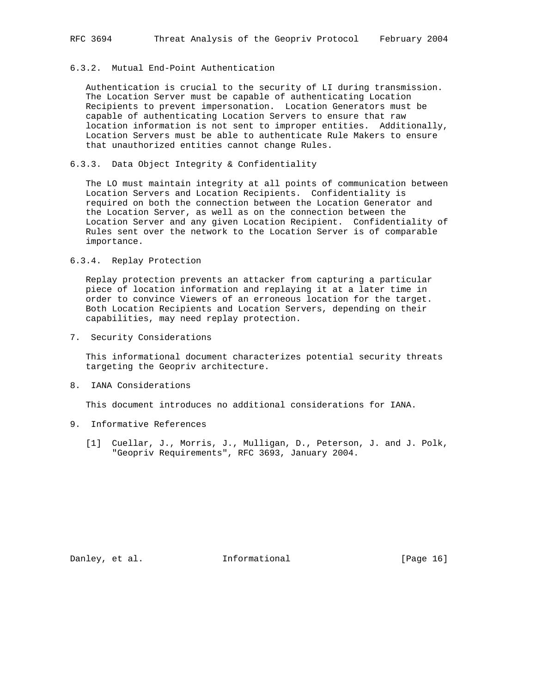# 6.3.2. Mutual End-Point Authentication

 Authentication is crucial to the security of LI during transmission. The Location Server must be capable of authenticating Location Recipients to prevent impersonation. Location Generators must be capable of authenticating Location Servers to ensure that raw location information is not sent to improper entities. Additionally, Location Servers must be able to authenticate Rule Makers to ensure that unauthorized entities cannot change Rules.

## 6.3.3. Data Object Integrity & Confidentiality

 The LO must maintain integrity at all points of communication between Location Servers and Location Recipients. Confidentiality is required on both the connection between the Location Generator and the Location Server, as well as on the connection between the Location Server and any given Location Recipient. Confidentiality of Rules sent over the network to the Location Server is of comparable importance.

# 6.3.4. Replay Protection

 Replay protection prevents an attacker from capturing a particular piece of location information and replaying it at a later time in order to convince Viewers of an erroneous location for the target. Both Location Recipients and Location Servers, depending on their capabilities, may need replay protection.

7. Security Considerations

 This informational document characterizes potential security threats targeting the Geopriv architecture.

8. IANA Considerations

This document introduces no additional considerations for IANA.

- 9. Informative References
	- [1] Cuellar, J., Morris, J., Mulligan, D., Peterson, J. and J. Polk, "Geopriv Requirements", RFC 3693, January 2004.

Danley, et al. **Informational** [Page 16]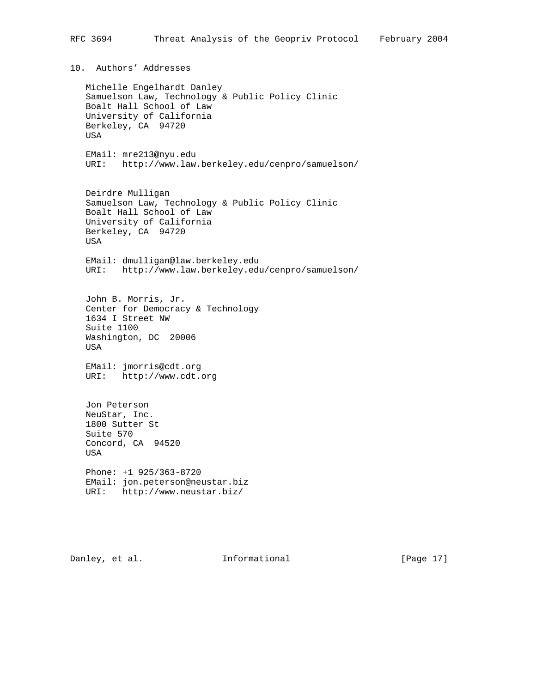# 10. Authors' Addresses

 Michelle Engelhardt Danley Samuelson Law, Technology & Public Policy Clinic Boalt Hall School of Law University of California Berkeley, CA 94720 USA

 EMail: mre213@nyu.edu URI: http://www.law.berkeley.edu/cenpro/samuelson/

 Deirdre Mulligan Samuelson Law, Technology & Public Policy Clinic Boalt Hall School of Law University of California Berkeley, CA 94720 USA

 EMail: dmulligan@law.berkeley.edu URI: http://www.law.berkeley.edu/cenpro/samuelson/

 John B. Morris, Jr. Center for Democracy & Technology 1634 I Street NW Suite 1100 Washington, DC 20006 USA

 EMail: jmorris@cdt.org URI: http://www.cdt.org

 Jon Peterson NeuStar, Inc. 1800 Sutter St Suite 570 Concord, CA 94520 USA Phone: +1 925/363-8720 EMail: jon.peterson@neustar.biz

URI: http://www.neustar.biz/

Danley, et al. **Informational** [Page 17]